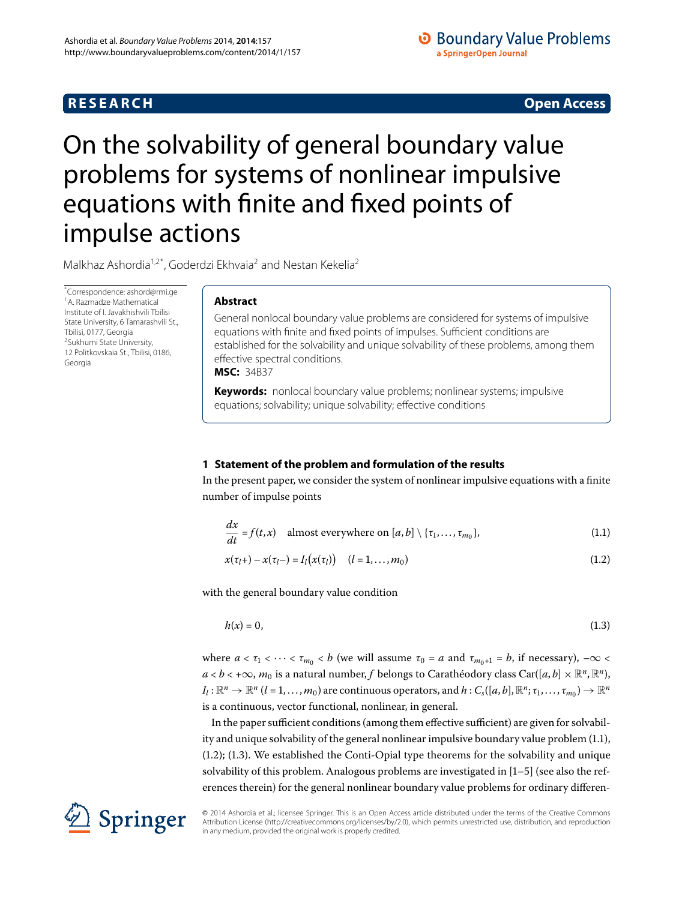## **RESEARCH CONSTRUCTER IN A RESEARCH CONSTRUCTER IN A RESEARCH**

## **O** Boundary Value Problems a SpringerOpen Journal

# <span id="page-0-2"></span><span id="page-0-0"></span>On the solvability of general boundary value problems for systems of nonlinear impulsive equations with finite and fixed points of impulse actions

<span id="page-0-1"></span>Malkhaz Ashordia<sup>[1](#page-0-0)[,2](#page-0-1)[\\*](#page-0-2)</sup>, Goderdzi Ekhvaia<sup>[2](#page-0-1)</sup> and Nestan Kekelia<sup>2</sup>

\* Correspondence: [ashord@rmi.ge](mailto:ashord@rmi.ge) 1A. Razmadze Mathematical Institute of I. Javakhishvili Tbilisi State University, 6 Tamarashvili St., Tbilisi, 0177, Georgia 2Sukhumi State University, 12 Politkovskaia St., Tbilisi, 0186, Georgia

## **Abstract**

General nonlocal boundary value problems are considered for systems of impulsive equations with finite and fixed points of impulses. Sufficient conditions are established for the solvability and unique solvability of these problems, among them effective spectral conditions.

**MSC:** 34B37

**Keywords:** nonlocal boundary value problems; nonlinear systems; impulsive equations; solvability; unique solvability; effective conditions

## **1 Statement of the problem and formulation of the results**

In the present paper, we consider the system of nonlinear impulsive equations with a finite number of impulse points

<span id="page-0-5"></span><span id="page-0-4"></span><span id="page-0-3"></span>
$$
\frac{dx}{dt} = f(t, x) \quad \text{almost everywhere on } [a, b] \setminus \{\tau_1, \dots, \tau_{m_0}\},\tag{1.1}
$$

$$
x(\tau_l +) - x(\tau_l -) = I_l(x(\tau_l)) \quad (l = 1, ..., m_0)
$$
\n(1.2)

with the general boundary value condition

$$
h(x) = 0,\tag{1.3}
$$

where  $a < \tau_1 < \cdots < \tau_{m} < b$  (we will assume  $\tau_0 = a$  and  $\tau_{m+1} = b$ , if necessary),  $-\infty <$ *a* < *b* < +∞, *m*<sub>0</sub> is a natural number, *f* belongs to Carathéodory class Car([*a*, *b*] ×  $\mathbb{R}^n$ ,  $\mathbb{R}^n$ ),  $I_l: \mathbb{R}^n \to \mathbb{R}^n$  (*l* = 1, ..., *m*<sub>0</sub>) are continuous operators, and  $h: C_s([a, b], \mathbb{R}^n; \tau_1, \ldots, \tau_{m_0}) \to \mathbb{R}^n$ is a continuous, vector functional, nonlinear, in general.

In the paper sufficient conditions (among them effective sufficient) are given for solvability and unique solvability of the general nonlinear impulsive boundary value problem  $(1.1)$ ,  $(1.2)$ ;  $(1.3)$ . We established the Conti-Opial type theorems for the solvability and unique solvability of this problem. Analogous problems are investigated in  $[1-5]$  $[1-5]$  (see also the references therein) for the general nonlinear boundary value problems for ordinary differen-



© 2014 Ashordia et al.; licensee Springer. This is an Open Access article distributed under the terms of the Creative Commons Attribution License (http://creativecommons.org/licenses/by/2.0), which permits unrestricted use, distribution, and reproduction in any medium, provided the original work is properly credited.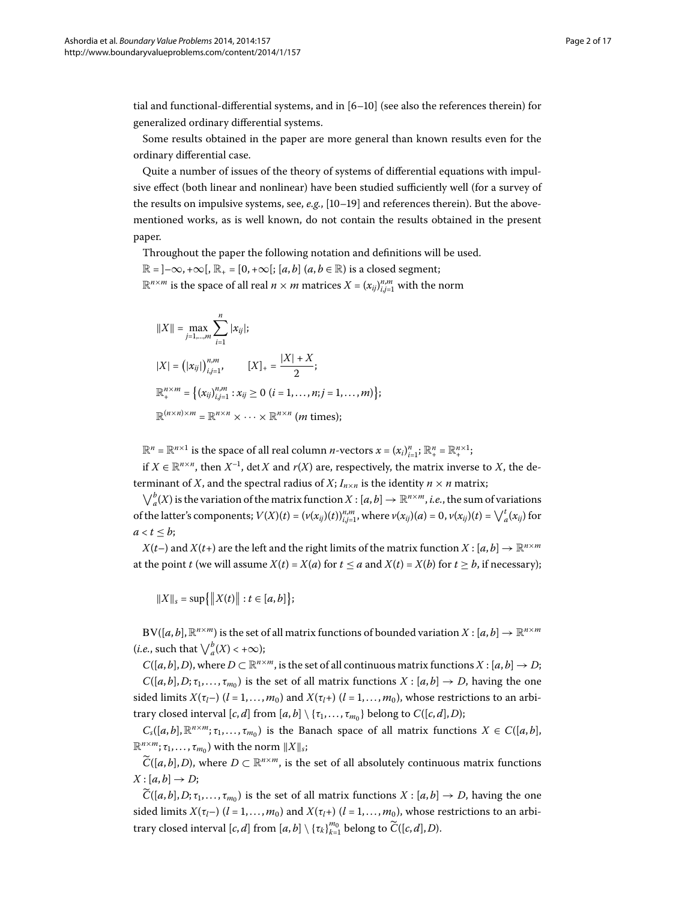tial and functional-differential systems, and in  $[6–10]$  $[6–10]$  (see also the references therein) for generalized ordinary differential systems.

Some results obtained in the paper are more general than known results even for the ordinary differential case.

Quite a number of issues of the theory of systems of differential equations with impulsive effect (both linear and nonlinear) have been studied sufficiently well (for a survey of the results on impulsive systems, see,  $e.g., [10-19]$  $e.g., [10-19]$  and references therein). But the abovementioned works, as is well known, do not contain the results obtained in the present paper.

Throughout the paper the following notation and definitions will be used.  $\mathbb{R} = ]-\infty, +\infty[, \mathbb{R}_+ = [0, +\infty]; [a, b]$   $(a, b \in \mathbb{R})$  is a closed segment;

 $\mathbb{R}^{n \times m}$  is the space of all real  $n \times m$  matrices  $X = (x_{ij})_{i,j=1}^{n,m}$  with the norm

$$
||X|| = \max_{j=1,...,m} \sum_{i=1}^{n} |x_{ij}|;
$$
  
\n
$$
|X| = (|x_{ij}|)_{i,j=1}^{n,m}, \qquad [X]_{+} = \frac{|X| + X}{2};
$$
  
\n
$$
\mathbb{R}_{+}^{n \times m} = \{ (x_{ij})_{i,j=1}^{n,m} : x_{ij} \ge 0 \ (i = 1,...,n; j = 1,...,m) \};
$$
  
\n
$$
\mathbb{R}^{(n \times n) \times m} = \mathbb{R}^{n \times n} \times \dots \times \mathbb{R}^{n \times n} \ (m \ \text{times});
$$

 $\mathbb{R}^n = \mathbb{R}^{n \times 1}$  is the space of all real column *n*-vectors  $x = (x_i)_{i=1}^n$ ;  $\mathbb{R}^n_+ = \mathbb{R}^{n \times 1}_+$ ;

if  $X \in \mathbb{R}^{n \times n}$ , then  $X^{-1}$ , det X and  $r(X)$  are, respectively, the matrix inverse to X, the determinant of *X*, and the spectral radius of *X*;  $I_{n \times n}$  is the identity  $n \times n$  matrix;

 $\bigvee_{a}^{b}(X)$  is the variation of the matrix function  $X : [a, b] \to \mathbb{R}^{n \times m}$ , *i.e.*, the sum of variations of the latter's components;  $V(X)(t) = (v(x_{ij})(t))_{i,j=1}^{n,m}$ , where  $v(x_{ij})(a) = 0$ ,  $v(x_{ij})(t) = \bigvee_{a}^{t} (x_{ij})$  for  $a < t \leq b$ ;

 $X(t-)$  and  $X(t+)$  are the left and the right limits of the matrix function  $X: [a, b] \to \mathbb{R}^{n \times m}$ at the point *t* (we will assume  $X(t) = X(a)$  for  $t \le a$  and  $X(t) = X(b)$  for  $t \ge b$ , if necessary);

$$
||X||_s = \sup\{||X(t)|| : t \in [a, b]\};
$$

 $BV([a, b], \mathbb{R}^{n \times m})$  is the set of all matrix functions of bounded variation  $X : [a, b] \to \mathbb{R}^{n \times m}$ (*i.e.*, such that  $\bigvee_{a}^{b}(X) < +\infty$ );

*C*( $[a, b]$ , *D*), where  $D \subset \mathbb{R}^{n \times m}$ , is the set of all continuous matrix functions  $X : [a, b] \to D$ ;  $C([a, b], D; \tau_1, \ldots, \tau_{m_0})$  is the set of all matrix functions  $X : [a, b] \to D$ , having the one sided limits  $X(\tau_l)$  ( $l = 1, ..., m_0$ ) and  $X(\tau_l)$  ( $l = 1, ..., m_0$ ), whose restrictions to an arbitrary closed interval  $[c, d]$  from  $[a, b] \setminus \{\tau_1, \ldots, \tau_{m_0}\}\)$  belong to  $C([c, d], D)$ ;

 $C_s([a, b], \mathbb{R}^{n \times m}; \tau_1, \ldots, \tau_{m_0})$  is the Banach space of all matrix functions  $X \in C([a, b],$  $\mathbb{R}^{n \times m}$ ;  $\tau_1, \ldots, \tau_{m_0}$ ) with the norm  $\|X\|_s$ ;

 $\widetilde{C}([a,b],D)$ , where  $D \subset \mathbb{R}^{n \times m}$ , is the set of all absolutely continuous matrix functions  $X$ :  $[a,b] \rightarrow D$ ;

 $\widetilde{C}([a,b],D;\tau_1,\ldots,\tau_{m_0})$  is the set of all matrix functions  $X:[a,b]\to D$ , having the one sided limits  $X(\tau_l)$  ( $l = 1, ..., m_0$ ) and  $X(\tau_l)$  ( $l = 1, ..., m_0$ ), whose restrictions to an arbitrary closed interval  $[c, d]$  from  $[a, b] \setminus {\{\tau_k\}}_{k=1}^{m_0}$  belong to  $\widetilde{C}([c, d], D)$ .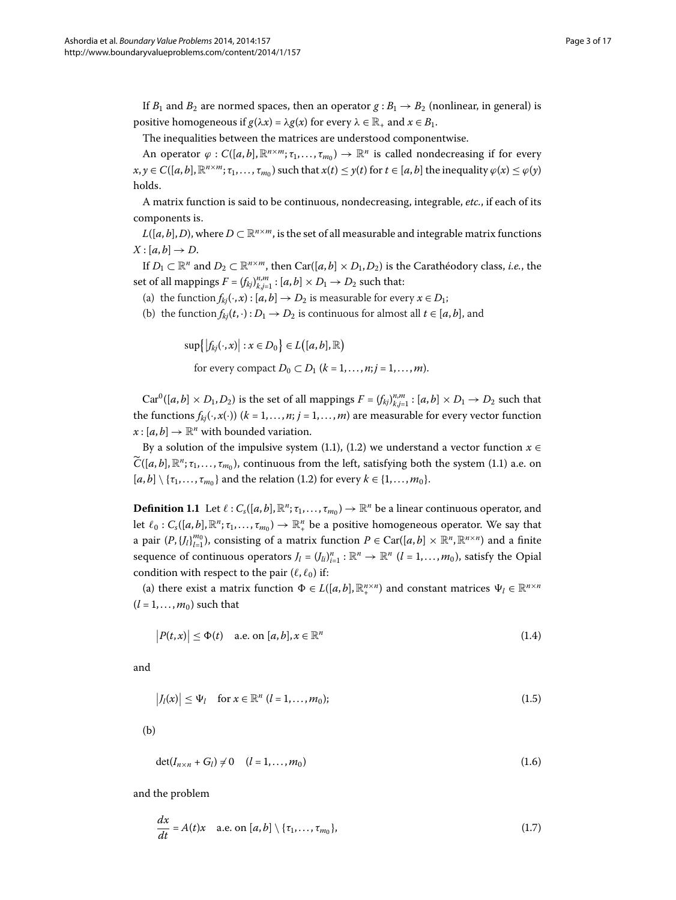If  $B_1$  and  $B_2$  are normed spaces, then an operator  $g : B_1 \rightarrow B_2$  (nonlinear, in general) is positive homogeneous if  $g(\lambda x) = \lambda g(x)$  for every  $\lambda \in \mathbb{R}_+$  and  $x \in B_1$ .

The inequalities between the matrices are understood componentwise.

An operator  $\varphi$  :  $C([a, b], \mathbb{R}^{n \times m}; \tau_1, \ldots, \tau_{m_0}) \to \mathbb{R}^n$  is called nondecreasing if for every  $x, y \in C([a, b], \mathbb{R}^{n \times m}; \tau_1, \ldots, \tau_{m_0})$  such that  $x(t) \leq y(t)$  for  $t \in [a, b]$  the inequality  $\varphi(x) \leq \varphi(y)$ holds.

A matrix function is said to be continuous, nondecreasing, integrable, *etc.*, if each of its components is.

 $L([a, b], D)$ , where  $D \subset \mathbb{R}^{n \times m}$ , is the set of all measurable and integrable matrix functions  $X: [a, b] \rightarrow D$ .

If  $D_1 \subset \mathbb{R}^n$  and  $D_2 \subset \mathbb{R}^{n \times m}$ , then Car([a, b] ×  $D_1$ ,  $D_2$ ) is the Carathéodory class, *i.e.*, the set of all mappings  $F = (f_{kj})_{k,j=1}^{n,m} : [a,b] \times D_1 \rightarrow D_2$  such that:

- (a) the function  $f_{kj}(\cdot, x) : [a, b] \to D_2$  is measurable for every  $x \in D_1$ ;
- (b) the function  $f_{ki}(t, \cdot): D_1 \to D_2$  is continuous for almost all  $t \in [a, b]$ , and

 $\sup\{|f_{kj}(\cdot,x)| : x \in D_0\} \in L([a,b],\mathbb{R})$ 

<span id="page-2-4"></span>for every compact  $D_0 \subset D_1$  ( $k = 1, ..., n; j = 1, ..., m$ ).

<span id="page-2-3"></span> $Car^0([a, b] \times D_1, D_2)$  is the set of all mappings  $F = (f_{kj})_{k,j=1}^{n,m}$  :  $[a, b] \times D_1 \to D_2$  such that the functions  $f_{kj}(\cdot, x(\cdot))$  ( $k = 1, ..., n; j = 1, ..., m$ ) are measurable for every vector function  $x:[a,b]\to\mathbb{R}^n$  with bounded variation.

By a solution of the impulsive system (1.1), (1.2) we understand a vector function  $x \in$  $\widetilde{C}([a,b],\mathbb{R}^n;\tau_1,\ldots,\tau_{m_0})$ , continuous from the left, satisfying both the system (1[.](#page-0-3)1) a.e. on  $[a, b] \setminus \{\tau_1, \ldots, \tau_{m_0}\}\$  and the relation (1.2) for every  $k \in \{1, \ldots, m_0\}$ .

**Definition 1.1** Let  $\ell: C_s([a, b], \mathbb{R}^n; \tau_1, \ldots, \tau_m) \to \mathbb{R}^n$  be a linear continuous operator, and let  $\ell_0: C_s([a,b], \mathbb{R}^n; \tau_1, \ldots, \tau_{m_0}) \to \mathbb{R}^n_+$  be a positive homogeneous operator. We say that a pair  $(P, {J_l}|_{l=1}^{m_0})$ , consisting of a matrix function  $P \in \text{Car}([a, b] \times \mathbb{R}^n, \mathbb{R}^{n \times n})$  and a finite sequence of continuous operators  $J_l = (J_{li})_{i=1}^n : \mathbb{R}^n \to \mathbb{R}^n$   $(l = 1, ..., m_0)$ , satisfy the Opial condition with respect to the pair  $(\ell, \ell_0)$  if:

(a) there exist a matrix function  $\Phi \in L([a, b], \mathbb{R}^{n \times n}_{+})$  and constant matrices  $\Psi_l \in \mathbb{R}^{n \times n}$  $(l = 1, \ldots, m_0)$  such that

<span id="page-2-1"></span><span id="page-2-0"></span>
$$
|P(t,x)| \leq \Phi(t) \quad \text{a.e. on } [a,b], x \in \mathbb{R}^n \tag{1.4}
$$

and

$$
|J_l(x)| \leq \Psi_l \quad \text{for } x \in \mathbb{R}^n \ (l=1,\ldots,m_0); \tag{1.5}
$$

(b)

<span id="page-2-2"></span>
$$
\det(I_{n\times n}+G_l)\neq 0 \quad (l=1,\ldots,m_0)
$$
\n(1.6)

and the problem

$$
\frac{dx}{dt} = A(t)x \quad \text{a.e. on } [a, b] \setminus \{\tau_1, \ldots, \tau_{m_0}\},\tag{1.7}
$$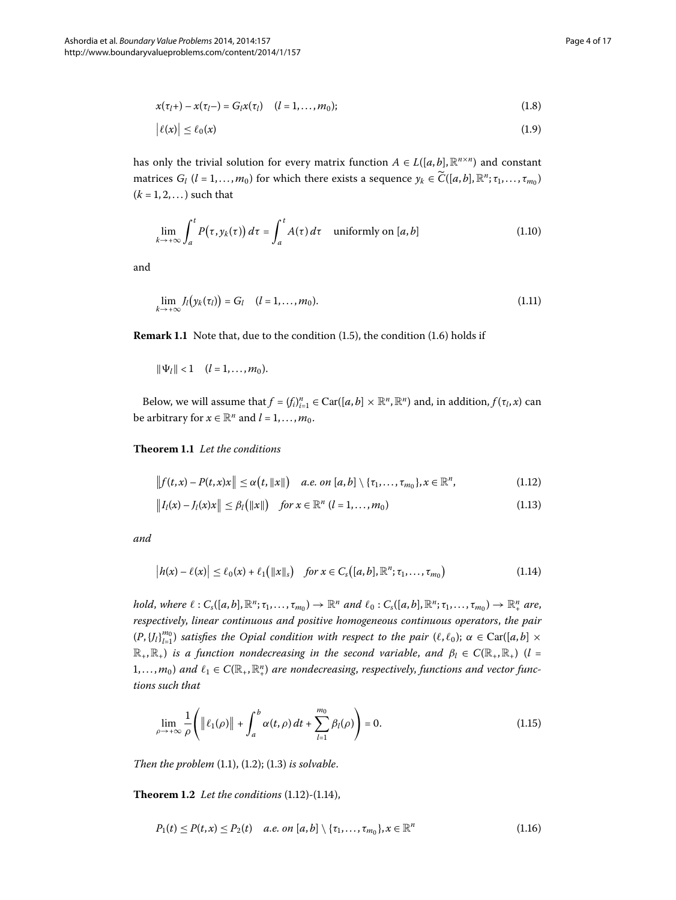<span id="page-3-4"></span><span id="page-3-3"></span>
$$
x(\tau_l +) - x(\tau_l -) = G_l x(\tau_l) \quad (l = 1, ..., m_0); \tag{1.8}
$$

<span id="page-3-7"></span>
$$
|\ell(x)| \le \ell_0(x) \tag{1.9}
$$

has only the trivial solution for every matrix function  $A \in L([a, b], \mathbb{R}^{n \times n})$  and constant matrices  $G_l$  (*l* = 1,...,  $m_0$ ) for which there exists a sequence  $y_k \in \widetilde{C}([a, b], \mathbb{R}^n; \tau_1, \ldots, \tau_{m_0})$  $(k = 1, 2, ...)$  such that

<span id="page-3-8"></span>
$$
\lim_{k \to +\infty} \int_{a}^{t} P(\tau, y_k(\tau)) d\tau = \int_{a}^{t} A(\tau) d\tau \quad \text{uniformly on } [a, b] \tag{1.10}
$$

and

$$
\lim_{k\to+\infty}J_l\big(\mathbf{y}_k(\tau_l)\big)=G_l\quad (l=1,\ldots,m_0). \tag{1.11}
$$

<span id="page-3-6"></span>**Remark 1.1** Note that, due to the condition (1.5), the condition (1.6) holds if

<span id="page-3-9"></span><span id="page-3-0"></span>
$$
\|\Psi_l\| < 1 \quad (l = 1, \ldots, m_0).
$$

Below, we will assume that  $f = (f_i)_{i=1}^n \in \text{Car}([a, b] \times \mathbb{R}^n, \mathbb{R}^n)$  and, in addition,  $f(\tau_i, x)$  can be arbitrary for  $x \in \mathbb{R}^n$  and  $l = 1, ..., m_0$ .

**Theorem 1.1** Let the conditions

$$
\left\|f(t,x)-P(t,x)x\right\|\leq\alpha\big(t,\|x\|\big)\quad a.e.\ on\ [a,b]\setminus\{\tau_1,\ldots,\tau_{m_0}\},x\in\mathbb{R}^n,\tag{1.12}
$$

<span id="page-3-1"></span>
$$
||I_{l}(x) - I_{l}(x)x|| \leq \beta_{l} (||x||) \quad \text{for } x \in \mathbb{R}^{n} \ (l = 1, ..., m_{0}) \tag{1.13}
$$

*and*

<span id="page-3-2"></span>
$$
|h(x) - \ell(x)| \leq \ell_0(x) + \ell_1(|x||_s) \quad \text{for } x \in C_s([a, b], \mathbb{R}^n; \tau_1, \dots, \tau_{m_0})
$$
\n(1.14)

hold, where  $\ell: C_s([a,b], \mathbb{R}^n; \tau_1, \ldots, \tau_{m_0}) \to \mathbb{R}^n$  and  $\ell_0: C_s([a,b], \mathbb{R}^n; \tau_1, \ldots, \tau_{m_0}) \to \mathbb{R}^n_+$  are, *respectively*, *linear continuous and positive homogeneous continuous operators*, *the pair*  $(P, {J_l}|_{l=1}^m)$  *satisfies the Opial condition with respect to the pair*  $(\ell, \ell_0)$ ;  $\alpha \in \text{Car}([a, b] \times \mathbb{R})$  $\mathbb{R}_+$ ,  $\mathbb{R}_+$ ) *is a function nondecreasing in the second variable, and*  $\beta_l \in C(\mathbb{R}_+,\mathbb{R}_+)$  (*l* =  $(1,\ldots,m_0)$  and  $\ell_1 \in C(\mathbb{R}_+, \mathbb{R}^n_+)$  are nondecreasing, respectively, functions and vector func*tions such that*

<span id="page-3-10"></span><span id="page-3-5"></span>
$$
\lim_{\rho \to +\infty} \frac{1}{\rho} \left( \|\ell_1(\rho)\| + \int_a^b \alpha(t,\rho) dt + \sum_{l=1}^{m_0} \beta_l(\rho) \right) = 0. \tag{1.15}
$$

*Then the problem*  $(1.1)$  $(1.1)$  $(1.1)$ ,  $(1.2)$ ;  $(1.3)$  *is solvable.* 

**Theorem 1[.](#page-3-0)2** Let the conditions  $(1.12)$ - $(1.14)$ ,

$$
P_1(t) \le P(t,x) \le P_2(t) \quad a.e. \text{ on } [a,b] \setminus \{\tau_1,\ldots,\tau_{m_0}\}, x \in \mathbb{R}^n \tag{1.16}
$$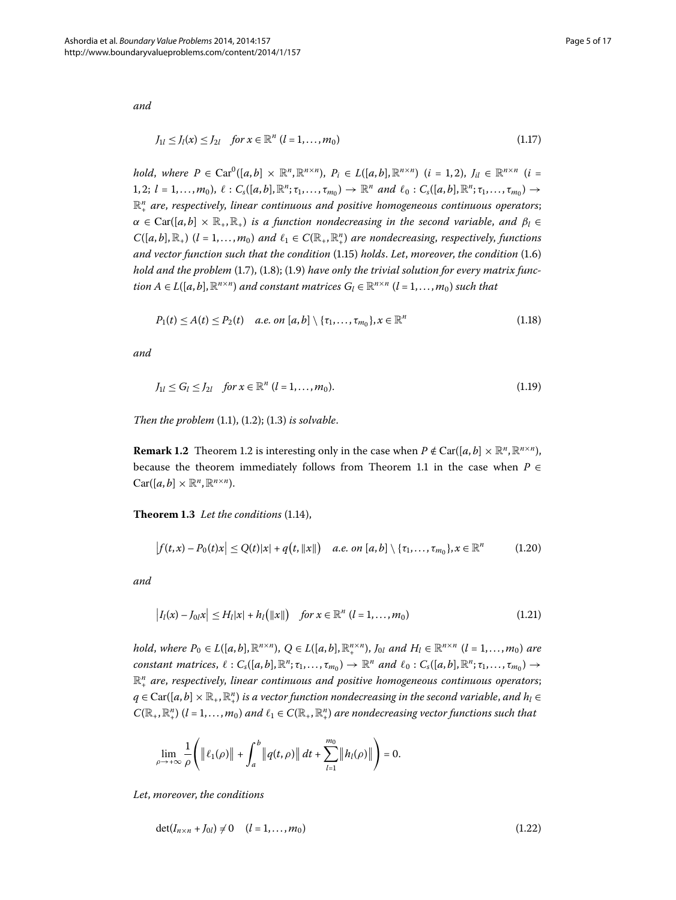*and*

<span id="page-4-3"></span><span id="page-4-1"></span>
$$
J_{1l} \le J_l(x) \le J_{2l} \quad \text{for } x \in \mathbb{R}^n \ (l = 1, ..., m_0)
$$
 (1.17)

*hold*, *where*  $P \in \text{Car}^0([a, b] \times \mathbb{R}^n, \mathbb{R}^{n \times n})$ ,  $P_i \in L([a, b], \mathbb{R}^{n \times n})$  (*i* = 1, 2),  $J_{il} \in \mathbb{R}^{n \times n}$  (*i* =  $1, 2; l = 1, \ldots, m_0$ ,  $\ell: C_s([a, b], \mathbb{R}^n; \tau_1, \ldots, \tau_{m_0}) \to \mathbb{R}^n$  and  $\ell_0: C_s([a, b], \mathbb{R}^n; \tau_1, \ldots, \tau_{m_0}) \to$  $\mathbb{R}^n_+$  are, respectively, linear continuous and positive homogeneous continuous operators;  $\alpha \in \text{Car}([a,b] \times \mathbb{R}_+, \mathbb{R}_+)$  *is a function nondecreasing in the second variable, and*  $\beta_l \in$  $C([a,b],\mathbb{R}_+)$  (*l* = 1,..., $m_0$ ) and  $\ell_1 \in C(\mathbb{R}_+, \mathbb{R}^n_+)$  are nondecreasing, respectively, functions *and vector function such that the condition* (1[.](#page-3-2)15) *holds*. *Let*, *moreover*, *the condition* (1.6) hold and the problem  $(1.7)$  $(1.7)$  $(1.7)$ ,  $(1.8)$ ;  $(1.9)$  have only the trivial solution for every matrix func*tion*  $A \in L([a, b], \mathbb{R}^{n \times n})$  *and constant matrices*  $G_l \in \mathbb{R}^{n \times n}$   $(l = 1, ..., m_0)$  *such that* 

<span id="page-4-2"></span>
$$
P_1(t) \le A(t) \le P_2(t) \quad a.e. \text{ on } [a, b] \setminus \{\tau_1, \ldots, \tau_{m_0}\}, x \in \mathbb{R}^n
$$
\n(1.18)

*and*

<span id="page-4-5"></span>
$$
J_{1l} \le G_l \le J_{2l} \quad \text{for } x \in \mathbb{R}^n \ (l = 1, \dots, m_0). \tag{1.19}
$$

<span id="page-4-4"></span>*Then the problem*  $(1.1)$  $(1.1)$  $(1.1)$ ,  $(1.2)$ ;  $(1.3)$  *is solvable.* 

**Remark 1[.](#page-3-5)2** Theorem 1.2 is interesting only in the case when  $P \notin \text{Car}([a, b] \times \mathbb{R}^n, \mathbb{R}^{n \times n})$ , because the theorem immediately follows from Theorem 1[.](#page-3-6)1 in the case when  $P \in$  $Car([a, b] \times \mathbb{R}^n, \mathbb{R}^{n \times n}).$ 

**Theorem 1[.](#page-3-1)3** Let the conditions (1.14),

<span id="page-4-6"></span>
$$
\left|f(t,x)-P_0(t)x\right|\leq Q(t)|x|+q\big(t,||x||\big)\quad a.e.\ on\ [a,b]\setminus\{\tau_1,\ldots,\tau_{m_0}\}, x\in\mathbb{R}^n\tag{1.20}
$$

*and*

$$
\left| I_{l}(x) - J_{0l}x \right| \leq H_{l}|x| + h_{l}(\|x\|) \quad \text{for } x \in \mathbb{R}^{n} \ (l = 1, ..., m_{0}) \tag{1.21}
$$

hold, where  $P_0 \in L([a, b], \mathbb{R}^{n \times n})$ ,  $Q \in L([a, b], \mathbb{R}^{n \times n})$ ,  $J_{0l}$  and  $H_l \in \mathbb{R}^{n \times n}$   $(l = 1, ..., m_0)$  are *constant matrices,*  $\ell: C_s([a,b],\mathbb{R}^n;\tau_1,\ldots,\tau_{m_0}) \to \mathbb{R}^n$  and  $\ell_0: C_s([a,b],\mathbb{R}^n;\tau_1,\ldots,\tau_{m_0}) \to$  $\mathbb{R}^n_+$  are, respectively, linear continuous and positive homogeneous continuous operators;  $q\in \operatorname{Car}([a,b]\times \mathbb{R}_+,\mathbb{R}_+^n)$  is a vector function nondecreasing in the second variable, and  $h_l\in$  $C(\mathbb{R}_+,\mathbb{R}^n_+)$  (*l* = 1, ..., *m*<sub>0</sub>) *and*  $\ell_1 \in C(\mathbb{R}_+,\mathbb{R}^n_+)$  *are nondecreasing vector functions such that* 

<span id="page-4-0"></span>
$$
\lim_{\rho \to +\infty} \frac{1}{\rho} \Bigg( \|\ell_1(\rho)\| + \int_a^b \|q(t,\rho)\| \, dt + \sum_{l=1}^{m_0} \|h_l(\rho)\| \Bigg) = 0.
$$

*Let*, *moreover*, *the conditions*

$$
\det(I_{n \times n} + J_{0l}) \neq 0 \quad (l = 1, ..., m_0)
$$
\n(1.22)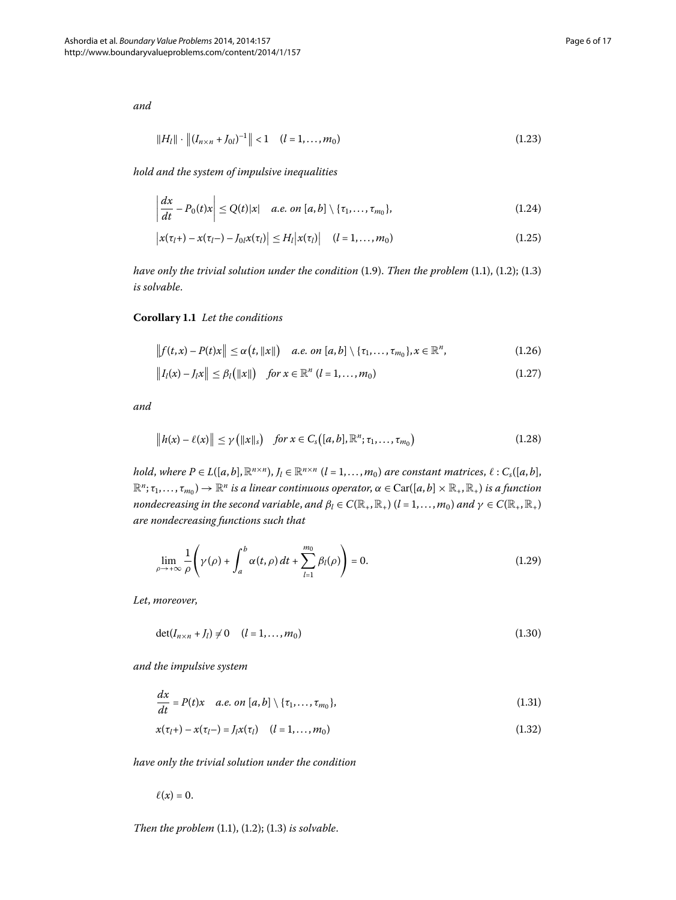*and*

<span id="page-5-4"></span><span id="page-5-3"></span><span id="page-5-2"></span>
$$
||H_l|| \cdot ||(I_{n \times n} + I_{0l})^{-1}|| < 1 \quad (l = 1, ..., m_0)
$$
\n(1.23)

*hold and the system of impulsive inequalities*

<span id="page-5-5"></span>
$$
\left|\frac{dx}{dt}-P_0(t)x\right|\leq Q(t)|x| \quad a.e. \text{ on } [a,b] \setminus \{\tau_1,\ldots,\tau_{m_0}\},\tag{1.24}
$$

<span id="page-5-0"></span>
$$
\left| x(\tau_{l}+)-x(\tau_{l}-)-J_{0}x(\tau_{l})\right| \leq H_{l}\left| x(\tau_{l})\right| \quad (l=1,\ldots,m_{0})
$$
\n(1.25)

*have only the trivial solution under the condition*  $(1.9)$  $(1.9)$  $(1.9)$ *. Then the problem*  $(1.1)$ *,*  $(1.2)$ *;*  $(1.3)$ *is solvable*.

**Corollary .** *Let the conditions*

$$
\left\|f(t,x)-P(t)x\right\| \leq \alpha\big(t,\|x\|\big) \quad a.e. \text{ on } [a,b] \setminus \{\tau_1,\ldots,\tau_{m_0}\}, x \in \mathbb{R}^n, \tag{1.26}
$$

$$
||I_{l}(x) - I_{l}x|| \leq \beta_{l} (||x||) \quad \text{for } x \in \mathbb{R}^{n} \ (l = 1, ..., m_{0}) \tag{1.27}
$$

*and*

$$
\|h(x)-\ell(x)\| \leq \gamma\left(\|x\|_{s}\right) \quad \text{for } x \in C_{s}\big([a,b],\mathbb{R}^{n};\tau_{1},\ldots,\tau_{m_{0}}\big) \tag{1.28}
$$

*hold*, *where*  $P \in L([a, b], \mathbb{R}^{n \times n})$ ,  $J_l \in \mathbb{R}^{n \times n}$   $(l = 1, ..., m_0)$  *are constant matrices*,  $\ell : C_s([a, b],$  $\mathbb{R}^n; \tau_1,\ldots,\tau_{m_0}$ )  $\to \mathbb{R}^n$  *is a linear continuous operator*,  $\alpha \in \text{Car}([a,b] \times \mathbb{R}_+, \mathbb{R}_+)$  *is a function nondecreasing in the second variable, and*  $\beta_l \in C(\mathbb{R}_+, \mathbb{R}_+)$  *(* $l = 1, ..., m_0$ *) and*  $\gamma \in C(\mathbb{R}_+, \mathbb{R}_+)$ *are nondecreasing functions such that*

<span id="page-5-1"></span>
$$
\lim_{\rho \to +\infty} \frac{1}{\rho} \left( \gamma(\rho) + \int_a^b \alpha(t, \rho) dt + \sum_{l=1}^{m_0} \beta_l(\rho) \right) = 0.
$$
\n(1.29)

*Let*, *moreover*,

<span id="page-5-7"></span><span id="page-5-6"></span>
$$
\det(I_{n \times n} + J_l) \neq 0 \quad (l = 1, ..., m_0)
$$
\n(1.30)

*and the impulsive system*

$$
\frac{dx}{dt} = P(t)x \quad a.e. \text{ on } [a, b] \setminus \{\tau_1, \ldots, \tau_{m_0}\},\tag{1.31}
$$

$$
x(\tau_l +) - x(\tau_l -) = J_l x(\tau_l) \quad (l = 1, ..., m_0)
$$
\n(1.32)

*have only the trivial solution under the condition*

 $\ell(x) = 0.$ 

*Then the problem*  $(1.1)$  $(1.1)$  $(1.1)$ ,  $(1.2)$ ;  $(1.3)$  *is solvable.*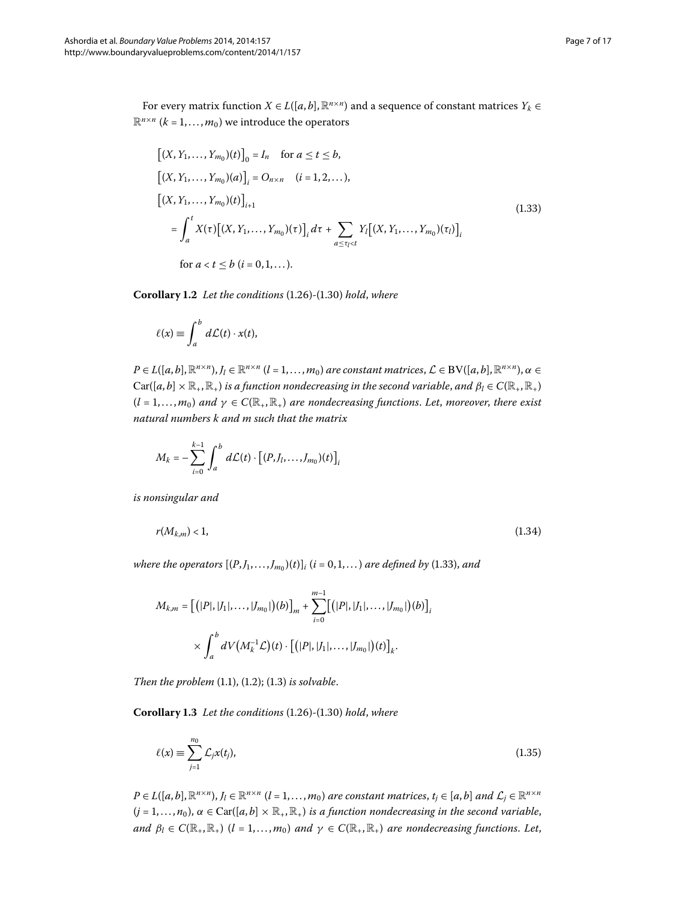For every matrix function *X* ∈ *L*([*a*, *b*],  $\mathbb{R}^{n \times n}$ ) and a sequence of constant matrices  $Y_k$  ∈  $\mathbb{R}^{n \times n}$  ( $k = 1, ..., m_0$ ) we introduce the operators

<span id="page-6-3"></span><span id="page-6-0"></span>
$$
[(X, Y_1, ..., Y_{m_0})(t)]_0 = I_n \text{ for } a \le t \le b,
$$
  
\n
$$
[(X, Y_1, ..., Y_{m_0})(a)]_i = O_{n \times n} \quad (i = 1, 2, ...),
$$
  
\n
$$
[(X, Y_1, ..., Y_{m_0})(t)]_{i+1}
$$
  
\n
$$
= \int_a^t X(\tau) [(X, Y_1, ..., Y_{m_0})(\tau)]_i d\tau + \sum_{a \le \tau_i < t} Y_i [(X, Y_1, ..., Y_{m_0})(\tau_i)]_i
$$
  
\nfor  $a < t \le b \ (i = 0, 1, ...).$  (1.33)

**Corollary 1[.](#page-5-0)2** Let the conditions (1.26)-(1.30) hold, where

$$
\ell(x) \equiv \int_a^b d\mathcal{L}(t) \cdot x(t),
$$

 $P \in L([a, b], \mathbb{R}^{n \times n}), J_l \in \mathbb{R}^{n \times n}$  ( $l = 1, ..., m_0$ ) are constant matrices,  $\mathcal{L} \in BV([a, b], \mathbb{R}^{n \times n}), \alpha \in$  $Car([a, b] \times \mathbb{R}_+, \mathbb{R}_+)$  *is a function nondecreasing in the second variable, and*  $\beta_l \in C(\mathbb{R}_+, \mathbb{R}_+)$  $(l = 1, ..., m_0)$  *and*  $\gamma \in C(\mathbb{R}_+, \mathbb{R}_+)$  *are nondecreasing functions. Let, moreover, there exist natural numbers k and m such that the matrix*

<span id="page-6-2"></span>
$$
M_k = -\sum_{i=0}^{k-1} \int_a^b d\mathcal{L}(t) \cdot \left[ (P, J_1, \dots, J_{m_0})(t) \right]_i
$$

*is nonsingular and*

$$
r(M_{k,m})<1,\t\t(1.34)
$$

*where the operators*  $[(P, J_1, \ldots, J_m)](t)$ *i*  $(i = 0, 1, \ldots)$  *are defined by* (1.33)*, and* 

<span id="page-6-1"></span>
$$
M_{k,m} = [ (|P|, |J_1|, \dots, |J_{m_0}|) (b) ]_m + \sum_{i=0}^{m-1} [ (|P|, |J_1|, \dots, |J_{m_0}|) (b) ]_i
$$
  
 
$$
\times \int_a^b dV \big( M_k^{-1} \mathcal{L} \big) (t) \cdot \big[ (|P|, |J_1|, \dots, |J_{m_0}|) (t) \big]_k.
$$

*Then the problem*  $(1.1)$  $(1.1)$  $(1.1)$ ,  $(1.2)$ ;  $(1.3)$  *is solvable.* 

**Corollary 1[.](#page-5-0)3** Let the conditions (1.26)-(1.30) hold, where

$$
\ell(x) \equiv \sum_{j=1}^{n_0} \mathcal{L}_j x(t_j),\tag{1.35}
$$

 $P \in L([a,b], \mathbb{R}^{n \times n}), J_l \in \mathbb{R}^{n \times n}$   $(l = 1, ..., m_0)$  are constant matrices,  $t_i \in [a,b]$  and  $\mathcal{L}_i \in \mathbb{R}^{n \times n}$  $(j = 1, \ldots, n_0)$ ,  $\alpha \in \text{Car}([a, b] \times \mathbb{R}_+, \mathbb{R}_+)$  *is a function nondecreasing in the second variable*, *and*  $\beta_l \in C(\mathbb{R}_+, \mathbb{R}_+)$  (*l* = 1,..., *m*<sub>0</sub>) *and*  $\gamma \in C(\mathbb{R}_+, \mathbb{R}_+)$  *are nondecreasing functions. Let*,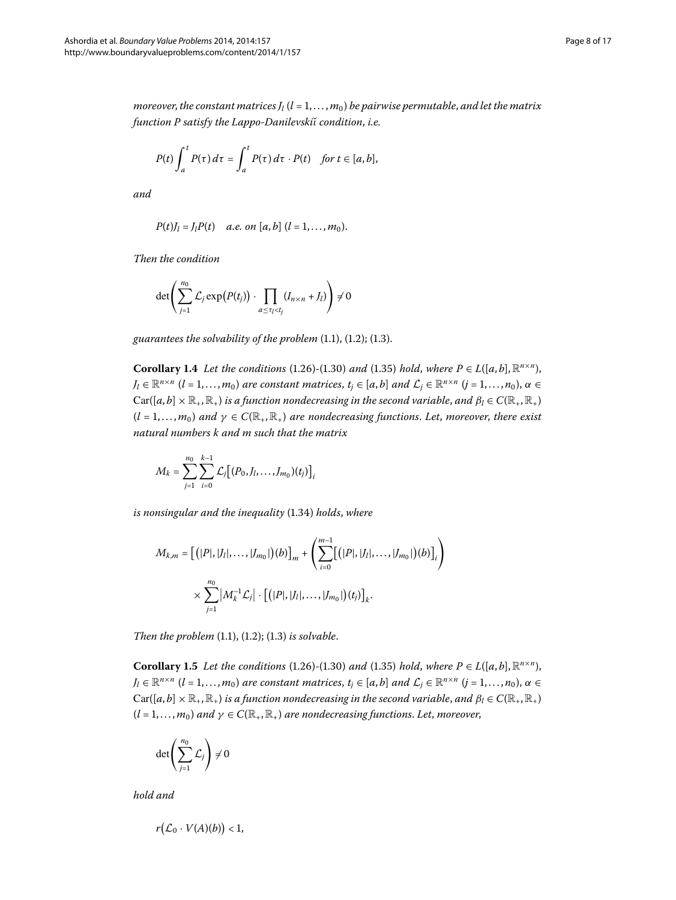*moreover, the constant matrices*  $J_l$  ( $l = 1, ..., m_0$ ) *be pairwise permutable, and let the matrix function P satisfy the Lappo-Danilevskiι*˘ *condition*, *i.e.*

$$
P(t)\int_a^t P(\tau)\,d\tau=\int_a^t P(\tau)\,d\tau\cdot P(t)\quad\text{for }t\in[a,b],
$$

*and*

$$
P(t)J_l = J_l P(t)
$$
 a.e. on [a, b]  $(l = 1, ..., m_0)$ .

*Then the condition*

$$
\det \left( \sum_{j=1}^{n_0} \mathcal{L}_j \exp \left( P(t_j) \right) \cdot \prod_{a \leq \tau_l < t_j} (I_{n \times n} + J_l) \right) \neq 0
$$

guarantees the solvability of the problem  $(1.1)$  $(1.1)$  $(1.1)$ ,  $(1.2)$ ;  $(1.3)$ .

**Corollary 1[.](#page-6-1)4** Let the conditions (1.26)-(1.30) and (1.35) hold, where  $P \in L([a, b], \mathbb{R}^{n \times n})$ ,  $J_l \in \mathbb{R}^{n \times n}$   $(l = 1, ..., m_0)$  *are constant matrices,*  $t_i \in [a, b]$  *and*  $\mathcal{L}_i \in \mathbb{R}^{n \times n}$   $(j = 1, ..., n_0)$ ,  $\alpha \in$  $Car([a, b] \times \mathbb{R}_+, \mathbb{R}_+)$  *is a function nondecreasing in the second variable, and*  $\beta_l \in C(\mathbb{R}_+, \mathbb{R}_+)$  $(l = 1, \ldots, m_0)$  and  $\gamma \in C(\mathbb{R}_+, \mathbb{R}_+)$  are nondecreasing functions. Let, moreover, there exist *natural numbers k and m such that the matrix*

$$
M_k = \sum_{j=1}^{n_0} \sum_{i=0}^{k-1} \mathcal{L}_j [(P_0, J_1, \dots, J_{m_0})(t_j)]_i
$$

*is nonsingular and the inequality* (1.34) *holds*, *where* 

<span id="page-7-0"></span>
$$
M_{k,m} = \left[ (|P|, |J_l|, \dots, |J_{m_0}|)(b) \right]_m + \left( \sum_{i=0}^{m-1} \left[ (|P|, |J_l|, \dots, |J_{m_0}|)(b) \right]_i \right) \times \sum_{j=1}^{n_0} \left| M_k^{-1} \mathcal{L}_j \right| \cdot \left[ (|P|, |J_l|, \dots, |J_{m_0}|)(t_j) \right]_k.
$$

*Then the problem*  $(1.1)$  $(1.1)$  $(1.1)$ ,  $(1.2)$ ;  $(1.3)$  *is solvable.* 

**Corollary 1.5** *Let the conditions* (1.26)-(1.30) *and* (1.35) *hold*, *where*  $P \in L([a, b], \mathbb{R}^{n \times n})$ ,  $J_l \in \mathbb{R}^{n \times n}$   $(l = 1, ..., m_0)$  *are constant matrices,*  $t_j \in [a, b]$  *and*  $\mathcal{L}_j \in \mathbb{R}^{n \times n}$   $(j = 1, ..., n_0)$ ,  $\alpha \in$  $Car([a, b] \times \mathbb{R}_+, \mathbb{R}_+)$  *is a function nondecreasing in the second variable, and*  $\beta_l \in C(\mathbb{R}_+, \mathbb{R}_+)$  $(l = 1, ..., m_0)$  and  $\gamma \in C(\mathbb{R}_+, \mathbb{R}_+)$  are nondecreasing functions. Let, moreover,

$$
\det\left(\sum_{j=1}^{n_0}\mathcal{L}_j\right)\neq 0
$$

*hold and*

$$
r\big(\mathcal{L}_0\cdot V(A)(b)\big)<1,
$$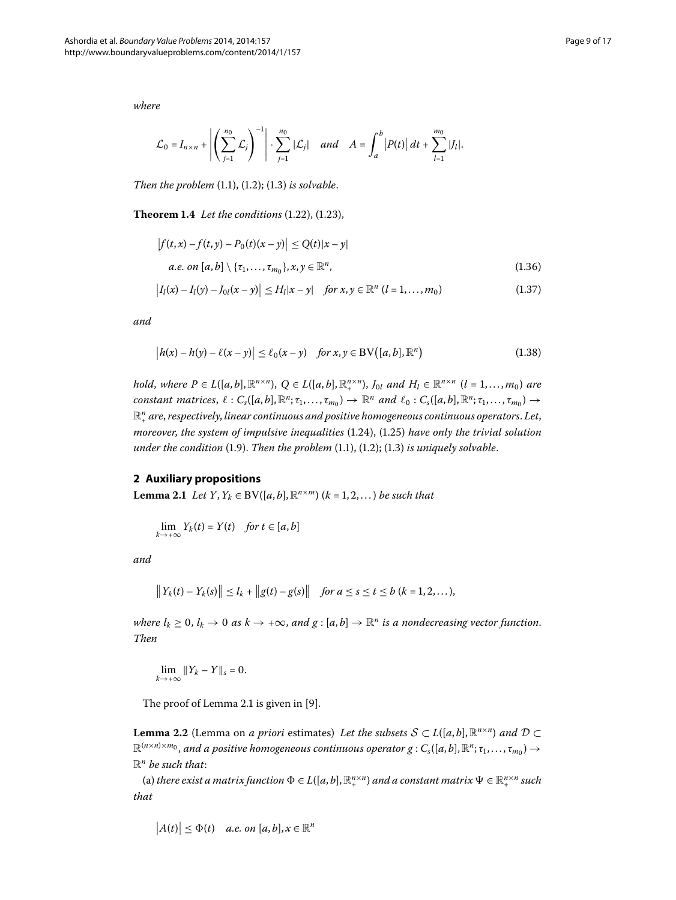<span id="page-8-2"></span>*where*

<span id="page-8-3"></span>
$$
\mathcal{L}_0 = I_{n \times n} + \left| \left( \sum_{j=1}^{n_0} \mathcal{L}_j \right)^{-1} \right| \cdot \sum_{j=1}^{n_0} |\mathcal{L}_j| \quad \text{and} \quad A = \int_a^b |P(t)| \, dt + \sum_{l=1}^{m_0} |J_l|.
$$

*Then the problem*  $(1.1)$  $(1.1)$  $(1.1)$ ,  $(1.2)$ ;  $(1.3)$  *is solvable.* 

**Theorem 1[.](#page-4-0)4** Let the conditions (1.22), (1.23),

<span id="page-8-4"></span>
$$
|f(t,x) - f(t,y) - P_0(t)(x - y)| \le Q(t)|x - y|
$$
  
*a.e.* on [a, b] \  $\{\tau_1, ..., \tau_{m_0}\}, x, y \in \mathbb{R}^n,$  (1.36)

$$
\left| I_{l}(x) - I_{l}(y) - J_{0l}(x - y) \right| \leq H_{l}|x - y| \quad \text{for } x, y \in \mathbb{R}^{n} \ (l = 1, ..., m_{0}) \tag{1.37}
$$

*and*

$$
\left| h(x) - h(y) - \ell(x - y) \right| \le \ell_0(x - y) \quad \text{for } x, y \in BV([a, b], \mathbb{R}^n)
$$
\n(1.38)

<span id="page-8-0"></span>hold, where  $P \in L([a, b], \mathbb{R}^{n \times n})$ ,  $Q \in L([a, b], \mathbb{R}^{n \times n})$ ,  $J_{0l}$  and  $H_l \in \mathbb{R}^{n \times n}$   $(l = 1, ..., m_0)$  are *constant matrices,*  $\ell: C_s([a,b],\mathbb{R}^n;\tau_1,\ldots,\tau_{m_0}) \to \mathbb{R}^n$  and  $\ell_0: C_s([a,b],\mathbb{R}^n;\tau_1,\ldots,\tau_{m_0}) \to$  $\mathbb{R}^n_+$  are, respectively, linear continuous and positive homogeneous continuous operators. Let, *moreover, the system of impulsive inequalities* (1.24), (1.25) have only the trivial solution  $under the condition (1.9)$  $under the condition (1.9)$  $under the condition (1.9)$ . *Then the problem*  $(1.1)$ ,  $(1.2)$ ;  $(1.3)$  *is uniquely solvable.* 

### **2 Auxiliary propositions**

**Lemma 2.1** *Let Y*, *Y<sub>k</sub>* ∈ BV([*a*, *b*],  $\mathbb{R}^{n \times m}$ ) (*k* = 1, 2, . . . ) *be such that* 

$$
\lim_{k \to +\infty} Y_k(t) = Y(t) \quad \text{for } t \in [a, b]
$$

*and*

$$
||Y_k(t) - Y_k(s)|| \le l_k + ||g(t) - g(s)||
$$
 for  $a \le s \le t \le b$   $(k = 1, 2, ...),$ 

*where*  $l_k \geq 0$ ,  $l_k \to 0$  *as*  $k \to +\infty$ , *and*  $g : [a, b] \to \mathbb{R}^n$  *is a nondecreasing vector function. Then*

<span id="page-8-1"></span>
$$
\lim_{k\to+\infty}||Y_k-Y||_s=0.
$$

The proof of Lemma 2[.](#page-8-0)1 is given in [\[](#page-16-3)9].

**Lemma 2.2** (Lemma on *a priori* estimates) *Let the subsets*  $S \subset L([a, b], \mathbb{R}^{n \times n})$  *and*  $D \subset$  $\mathbb{R}^{(n \times n) \times m_0}$ , and a positive homogeneous continuous operator  $g : C_s([a, b], \mathbb{R}^n; \tau_1, \ldots, \tau_{m_0}) \to$ R*<sup>n</sup> be such that*:

(a) *there exist a matrix function*  $\Phi \in L([a, b], \mathbb{R}_{+}^{n \times n})$  *and a constant matrix*  $\Psi \in \mathbb{R}_{+}^{n \times n}$  *such that*

$$
|A(t)| \leq \Phi(t) \quad a.e. \text{ on } [a, b], x \in \mathbb{R}^n
$$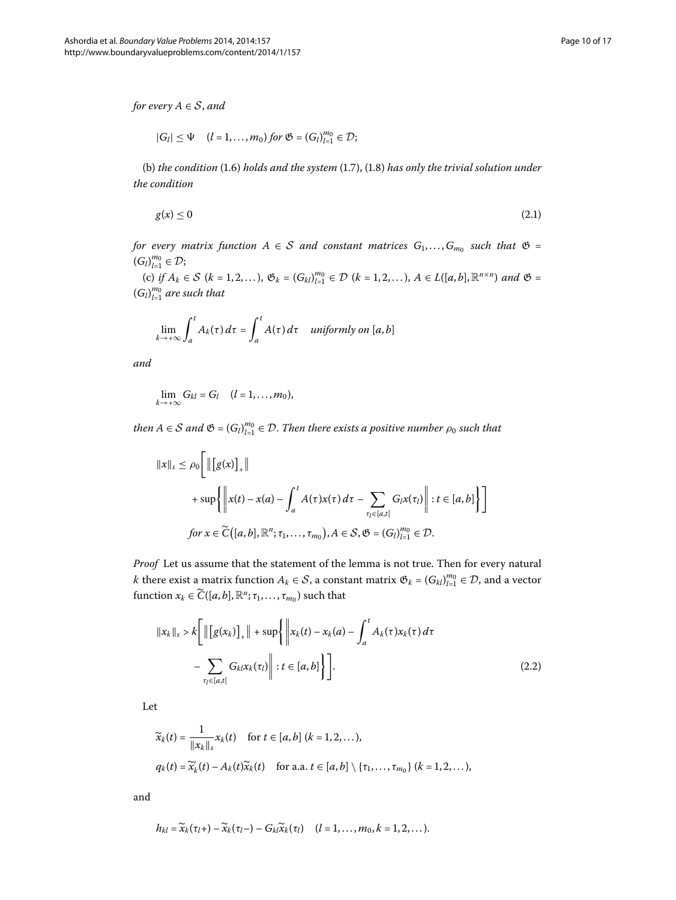*for every A* ∈ S, *and*

<span id="page-9-0"></span>
$$
|G_l| \leq \Psi \quad (l=1,\ldots,m_0) \text{ for } \mathfrak{G} = (G_l)_{l=1}^{m_0} \in \mathcal{D};
$$

(b) *the condition* (1[.](#page-3-3)6) *holds and the system* (1.7), (1.8) *has only the trivial solution under the condition*

$$
g(x) \le 0 \tag{2.1}
$$

*for every matrix function*  $A \in S$  *and constant matrices*  $G_1, \ldots, G_{m_0}$  *such that*  $\mathfrak{G} =$  $(G_l)_{l=1}^{m_0} \in \mathcal{D};$ 

(c) *if*  $A_k$  ∈  $S$  ( $k$  = 1, 2, ...),  $\mathfrak{G}_k$  = ( $G_{kl}$ )<sub> $l=1$ </sub> $\in$   $\mathcal{D}$  ( $k$  = 1, 2, ...),  $A \in L([a, b], \mathbb{R}^{n \times n})$  *and*  $\mathfrak{G}$  =  $(G_l)_{l=1}^{m_0}$  are such that

$$
\lim_{k \to +\infty} \int_{a}^{t} A_{k}(\tau) d\tau = \int_{a}^{t} A(\tau) d\tau \quad \text{uniformly on } [a, b]
$$

*and*

$$
\lim_{k\to+\infty}G_{kl}=G_l\quad (l=1,\ldots,m_0),
$$

 $t$ hen  $A \in \mathcal{S}$  and  $\mathfrak{G} = \left( G_l \right)_{l = 1}^{m_0} \in \mathcal{D}.$  Then there exists a positive number  $\rho_0$  such that

$$
||x||_s \le \rho_0 \Bigg[ ||[g(x)]_+||
$$
  
+ 
$$
\sup \Biggl\{ ||x(t) - x(a) - \int_a^t A(\tau) x(\tau) d\tau - \sum_{\tau_l \in [a,t[} G_l x(\tau_l) || : t \in [a,b] \Biggr\} \Biggr]
$$
  
for  $x \in \widetilde{C}([a,b], \mathbb{R}^n; \tau_1, ..., \tau_{m_0}), A \in S, \mathfrak{G} = (G_l)_{l=1}^{m_0} \in \mathcal{D}.$ 

*Proof* Let us assume that the statement of the lemma is not true. Then for every natural *k* there exist a matrix function  $A_k \in S$ , a constant matrix  $\mathfrak{G}_k = (G_{kl})_{l=1}^{m_0} \in \mathcal{D}$ , and a vector function  $x_k \in \widetilde{C}([a, b], \mathbb{R}^n; \tau_1, \ldots, \tau_{m_0})$  such that

$$
||x_k||_s > k \Bigg[ \left\| \big[g(x_k)\big]_+\right\| + \sup\left\{ \left\| x_k(t) - x_k(a) - \int_a^t A_k(\tau) x_k(\tau) d\tau - \sum_{\tau_l \in [a,t]} G_{kl} x_k(\tau_l) \right\| : t \in [a,b] \Bigg\} \Bigg].
$$
\n(2.2)

Let

$$
\widetilde{x}_k(t) = \frac{1}{\|x_k\|_s} x_k(t) \quad \text{for } t \in [a, b] \ (k = 1, 2, \dots),
$$
\n
$$
q_k(t) = \widetilde{x}_k'(t) - A_k(t)\widetilde{x}_k(t) \quad \text{for a.a. } t \in [a, b] \setminus \{\tau_1, \dots, \tau_{m_0}\} \ (k = 1, 2, \dots),
$$

and

$$
h_{kl} = \widetilde{x}_k(\tau_l +) - \widetilde{x}_k(\tau_l -) - G_{kl}\widetilde{x}_k(\tau_l) \quad (l = 1, \ldots, m_0, k = 1, 2, \ldots).
$$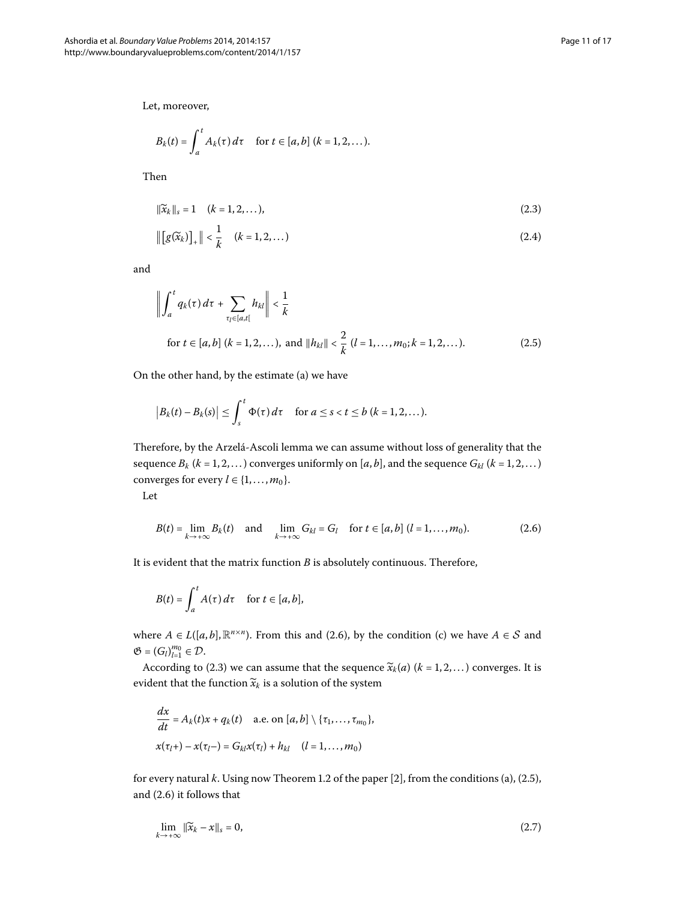Let, moreover,

<span id="page-10-3"></span><span id="page-10-1"></span>
$$
B_k(t) = \int_a^t A_k(\tau) d\tau \quad \text{ for } t \in [a, b] \ (k = 1, 2, \dots).
$$

Then

$$
\|\widetilde{x}_k\|_{s} = 1 \quad (k = 1, 2, \dots),
$$
\n(2.3)

<span id="page-10-2"></span>
$$
\|\big[g(\widetilde{x}_k)\big]_+\| < \frac{1}{k} \quad (k = 1, 2, \dots) \tag{2.4}
$$

and

$$
\left\| \int_{a}^{t} q_{k}(\tau) d\tau + \sum_{\tau_{l} \in [a,t[} h_{kl}] \right\| < \frac{1}{k}
$$
  
for  $t \in [a,b]$   $(k = 1, 2, ...),$  and  $||h_{kl}|| < \frac{2}{k} (l = 1, ..., m_{0}; k = 1, 2, ...).$  (2.5)

On the other hand, by the estimate (a) we have

<span id="page-10-0"></span>
$$
\big|B_k(t)-B_k(s)\big|\leq \int_s^t \Phi(\tau)\,d\tau \quad \text{ for } a\leq s
$$

Therefore, by the Arzelá-Ascoli lemma we can assume without loss of generality that the sequence  $B_k$  ( $k = 1, 2, ...$ ) converges uniformly on [ $a, b$ ], and the sequence  $G_{kl}$  ( $k = 1, 2, ...$ ) converges for every  $l \in \{1, \ldots, m_0\}.$ 

Let

$$
B(t) = \lim_{k \to +\infty} B_k(t) \quad \text{and} \quad \lim_{k \to +\infty} G_{kl} = G_l \quad \text{for } t \in [a, b] \ (l = 1, \dots, m_0). \tag{2.6}
$$

It is evident that the matrix function *B* is absolutely continuous. Therefore,

$$
B(t) = \int_a^t A(\tau) d\tau \quad \text{for } t \in [a, b],
$$

where  $A \in L([a, b], \mathbb{R}^{n \times n})$ [.](#page-10-0) From this and (2.6), by the condition (c) we have  $A \in S$  and  $\mathfrak{G} = (G_l)_{l=1}^{m_0} \in \mathcal{D}.$ 

According to (2.3) we can assume that the sequence  $\widetilde{\chi}_k(a)$  ( $k = 1, 2, ...$ ) converges. It is evident that the function  $\widetilde{x}_k$  is a solution of the system

<span id="page-10-4"></span>
$$
\frac{dx}{dt} = A_k(t)x + q_k(t) \quad \text{a.e. on } [a, b] \setminus \{\tau_1, \dots, \tau_{m_0}\},
$$
  

$$
x(\tau_l +) - x(\tau_l -) = G_{kl}x(\tau_l) + h_{kl} \quad (l = 1, \dots, m_0)
$$

for every natural  $k$ [.](#page-3-5) Using now Theorem 1.2 of the paper [\[](#page-15-2)2], from the conditions (a), (2.5), and  $(2.6)$  it follows that

$$
\lim_{k \to +\infty} \|\widetilde{x}_k - x\|_{s} = 0,\tag{2.7}
$$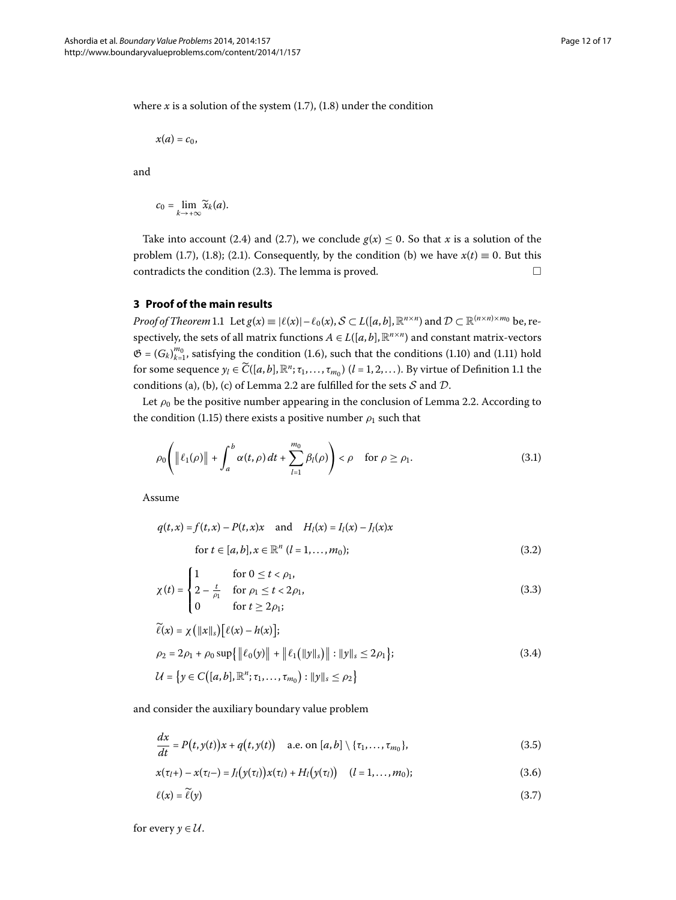where  $x$  is a solution of the system  $(1.7)$ ,  $(1.8)$  under the condition

$$
x(a)=c_0,
$$

and

$$
c_0=\lim_{k\to+\infty}\widetilde{x}_k(a).
$$

Take into account (2[.](#page-10-3)4) and (2.7), we conclude  $g(x) \le 0$ . So that *x* is a solution of the problem (1.7), (1.8); (2.1). Consequently, by the condition (b) we have  $x(t) \equiv 0$ . But this contradicts the condition  $(2.3)$ . The lemma is proved.  $\Box$ 

## **3 Proof of the main results**

*Proof of Theorem* 1[.](#page-3-6)1 Let  $g(x) = |\ell(x)| - \ell_0(x), S \subset L([a, b], \mathbb{R}^{n \times n})$  and  $\mathcal{D} \subset \mathbb{R}^{(n \times n) \times m_0}$  be, respectively, the sets of all matrix functions  $A \in L([a, b], \mathbb{R}^{n \times n})$  and constant matrix-vectors  $\mathfrak{G} = (G_k)_{k=1}^{m_0}$ , satisfying the condition (1.6), such that the conditions (1.10) and (1.11) hold for some sequence  $y_l \in \widetilde{C}([a, b], \mathbb{R}^n; \tau_1, \ldots, \tau_{m_0})$  ( $l = 1, 2, \ldots$ )[.](#page-2-3) By virtue of Definition 1.1 the conditions (a), (b), (c) of Lemma 2[.](#page-8-1)2 are fulfilled for the sets  $S$  and  $D$ .

Let  $\rho_0$  be the positive number appearing in the conclusion of Lemma 2.2. According to the condition (1.15) there exists a positive number  $\rho_1$  such that

<span id="page-11-5"></span><span id="page-11-3"></span>
$$
\rho_0\left(\left\|\ell_1(\rho)\right\|+\int_a^b\alpha(t,\rho)\,dt+\sum_{l=1}^{m_0}\beta_l(\rho)\right)<\rho\quad\text{for }\rho\ge\rho_1.
$$
\n(3.1)

Assume

<span id="page-11-6"></span>
$$
q(t,x) = f(t,x) - P(t,x)x \text{ and } H_l(x) = I_l(x) - J_l(x)x
$$
  
for  $t \in [a, b], x \in \mathbb{R}^n$  ( $l = 1, ..., m_0$ ); (3.2)

<span id="page-11-4"></span>
$$
\chi(t) = \begin{cases} 1 & \text{for } 0 \le t < \rho_1, \\ 2 - \frac{t}{\rho_1} & \text{for } \rho_1 \le t < 2\rho_1, \\ 0 & \text{for } t \ge 2\rho_1; \end{cases}
$$
(3.3)

<span id="page-11-1"></span><span id="page-11-0"></span>
$$
\widetilde{\ell}(x) = \chi \left( ||x||_s \right) \left[ \ell(x) - h(x) \right];
$$
\n
$$
\rho_2 = 2\rho_1 + \rho_0 \sup \{ ||\ell_0(y)|| + ||\ell_1(||y||_s) || : ||y||_s \le 2\rho_1 \};
$$
\n
$$
\mathcal{U} = \{ y \in C([a, b], \mathbb{R}^n; \tau_1, \dots, \tau_{m_0}) : ||y||_s \le \rho_2 \}
$$
\n(3.4)

and consider the auxiliary boundary value problem

<span id="page-11-2"></span>
$$
\frac{dx}{dt} = P(t, y(t))x + q(t, y(t)) \quad \text{a.e. on } [a, b] \setminus \{\tau_1, \ldots, \tau_{m_0}\},\tag{3.5}
$$

$$
x(\tau_l +) - x(\tau_l -) = J_l(y(\tau_l))x(\tau_l) + H_l(y(\tau_l)) \quad (l = 1, ..., m_0);
$$
\n(3.6)

$$
\ell(x) = \tilde{\ell}(y) \tag{3.7}
$$

for every  $y \in \mathcal{U}$ .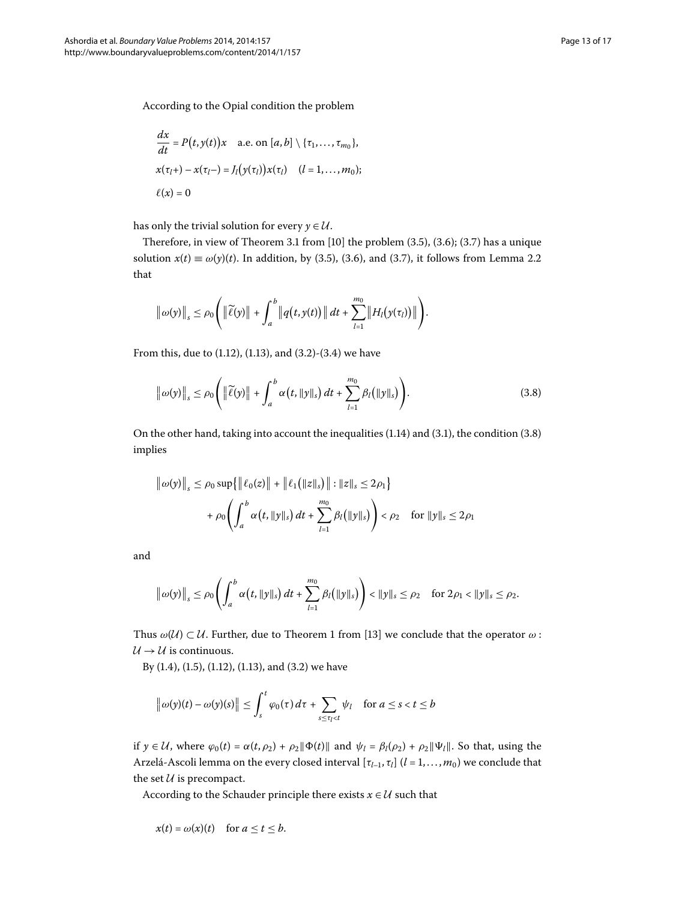$$
\frac{dx}{dt} = P(t, y(t))x \quad \text{a.e. on } [a, b] \setminus \{\tau_1, \ldots, \tau_{m_0}\},
$$
  

$$
x(\tau_l +) - x(\tau_l -) = J_l(y(\tau_l))x(\tau_l) \quad (l = 1, \ldots, m_0);
$$
  

$$
\ell(x) = 0
$$

has only the trivial solution for every  $y \in U$ .

Therefore, in view of Theorem 3[.](#page-11-1)1 from  $[10]$  the problem  $(3.5)$ ,  $(3.6)$ ;  $(3.7)$  has a unique solution  $x(t) \equiv \omega(y)(t)$ [.](#page-8-1) In addition, by (3.5), (3.6), and (3.7), it follows from Lemma 2.2 that

<span id="page-12-0"></span>
$$
\|\omega(y)\|_{s}\leq \rho_0\Bigg(\|\widetilde{\ell}(y)\|+\int_a^b\|q\big(t,y(t)\big)\|\,dt+\sum_{l=1}^{m_0}\|H_l\big(y(\tau_l)\big)\|\Bigg).
$$

From this, due to  $(1.12)$  $(1.12)$  $(1.12)$ ,  $(1.13)$ , and  $(3.2)-(3.4)$  we have

$$
\|\omega(y)\|_{s} \leq \rho_0 \Bigg( \|\widetilde{\ell}(y)\| + \int_a^b \alpha\big(t, \|y\|_{s}\big) dt + \sum_{l=1}^{m_0} \beta_l\big(\|y\|_{s}\big) \Bigg). \tag{3.8}
$$

On the other hand, taking into account the inequalities  $(1.14)$  $(1.14)$  $(1.14)$  and  $(3.1)$ , the condition  $(3.8)$ implies

$$
\|\omega(y)\|_{s} \leq \rho_0 \sup \{ \|\ell_0(z)\| + \|\ell_1(|z\|_{s})\| : \|z\|_{s} \leq 2\rho_1 \} + \rho_0 \left( \int_a^b \alpha(t, \|y\|_{s}) dt + \sum_{l=1}^{m_0} \beta_l(|y\|_{s}) \right) < \rho_2 \quad \text{for } \|y\|_{s} \leq 2\rho_1
$$

and

$$
\|\omega(y)\|_{s} \leq \rho_0 \left(\int_a^b \alpha(t, \|y\|_{s}) dt + \sum_{l=1}^{m_0} \beta_l(\|y\|_{s})\right) < \|y\|_{s} \leq \rho_2 \quad \text{for } 2\rho_1 < \|y\|_{s} \leq \rho_2.
$$

Thus  $\omega(\mathcal{U}) \subset \mathcal{U}$ . Further, due to Theorem 1 from [\[](#page-16-4)13] we conclude that the operator  $\omega$ :  $U \rightarrow U$  is continuous.

By  $(1.4)$  $(1.4)$  $(1.4)$ ,  $(1.5)$ ,  $(1.12)$ ,  $(1.13)$ , and  $(3.2)$  we have

$$
\left\|\omega(y)(t)-\omega(y)(s)\right\| \leq \int_{s}^{t} \varphi_0(\tau) d\tau + \sum_{s \leq \tau_l < t} \psi_l \quad \text{for } a \leq s < t \leq b
$$

if  $y \in \mathcal{U}$ , where  $\varphi_0(t) = \alpha(t, \rho_2) + \rho_2 ||\Phi(t)||$  and  $\psi_l = \beta_l(\rho_2) + \rho_2 ||\Psi_l||$ . So that, using the Arzelá-Ascoli lemma on the every closed interval  $[\tau_{l-1}, \tau_l]$  ( $l = 1, ..., m_0$ ) we conclude that the set  $U$  is precompact.

According to the Schauder principle there exists  $x \in U$  such that

$$
x(t) = \omega(x)(t) \quad \text{for } a \le t \le b.
$$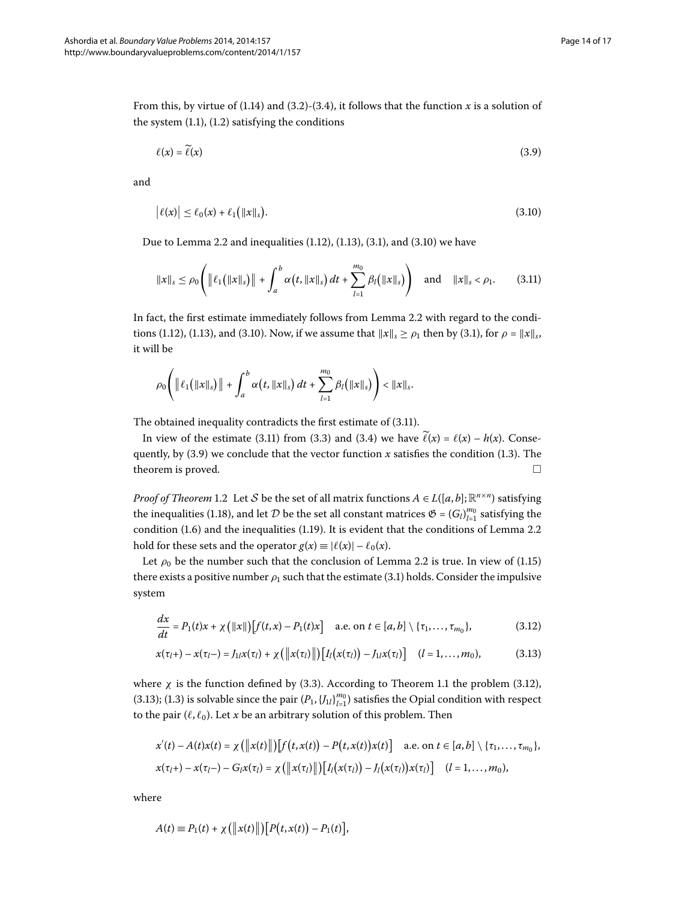From this, by virtue of (1.14) and (3.2)-(3.4), it follows that the function *x* is a solution of the system  $(1.1)$  $(1.1)$  $(1.1)$ ,  $(1.2)$  satisfying the conditions

<span id="page-13-2"></span><span id="page-13-1"></span><span id="page-13-0"></span>
$$
\ell(x) = \widetilde{\ell}(x) \tag{3.9}
$$

and

$$
\left| \ell(x) \right| \leq \ell_0(x) + \ell_1\big( \|x\|_{s} \big). \tag{3.10}
$$

Due to Lemma 2[.](#page-11-5)2 and inequalities  $(1.12)$ ,  $(1.13)$ ,  $(3.1)$ , and  $(3.10)$  we have

$$
\|x\|_{s} \leq \rho_0 \left( \|\ell_1(\|x\|_{s})\| + \int_a^b \alpha(t, \|x\|_{s}) dt + \sum_{l=1}^{m_0} \beta_l(\|x\|_{s}) \right) \quad \text{and} \quad \|x\|_{s} < \rho_1. \tag{3.11}
$$

In fact, the first estimate immediately follows from Lemma 2[.](#page-8-1)2 with regard to the condi-tions (1[.](#page-11-5)12), (1.13), and (3.10). Now, if we assume that  $||x||_s \ge \rho_1$  then by (3.1), for  $\rho = ||x||_s$ , it will be

$$
\rho_0\Bigg(\|\ell_1(|x\|_s)\|+\int_a^b\alpha\big(t,\|x\|_s\big)\,dt+\sum_{l=1}^{m_0}\beta_l(|x\|_s)\Bigg)<\|x\|_s.
$$

The obtained inequality contradicts the first estimate of  $(3.11)$  $(3.11)$  $(3.11)$ .

In view of the estimate (3[.](#page-11-4)11) from (3.3) and (3.4) we have  $\tilde{\ell}(x) = \ell(x) - h(x)$ . Consequently, by  $(3.9)$  $(3.9)$  $(3.9)$  we conclude that the vector function *x* satisfies the condition (1.3). The theorem is proved.  $\Box$ 

*Proof of Theorem* 1[.](#page-3-5)2 Let S be the set of all matrix functions  $A \in L([a, b]; \mathbb{R}^{n \times n})$  satisfying the inequalities (1.18), and let  $D$  be the set all constant matrices  $\mathfrak{G} = (G_l)_{l=1}^{m_0}$  satisfying the condition  $(1.6)$  $(1.6)$  $(1.6)$  and the inequalities  $(1.19)$ . It is evident that the conditions of Lemma 2.2 hold for these sets and the operator  $g(x) \equiv |\ell(x)| - \ell_0(x)$ .

Let  $\rho_0$  be the number such that the conclusion of Lemma 2[.](#page-3-2)2 is true. In view of (1.15) there exists a positive number  $\rho_1$  such that the estimate (3[.](#page-11-5)1) holds. Consider the impulsive system

<span id="page-13-4"></span><span id="page-13-3"></span>
$$
\frac{dx}{dt} = P_1(t)x + \chi(|x|)[f(t,x) - P_1(t)x] \quad \text{a.e. on } t \in [a,b] \setminus {\tau_1, \ldots, \tau_{m_0}},
$$
\n(3.12)

$$
x(\tau_l +) - x(\tau_l -) = J_{1l}x(\tau_l) + \chi(\|x(\tau_l)\|)[I_l(x(\tau_l)) - J_{1l}x(\tau_l)] \quad (l = 1, ..., m_0),
$$
 (3.13)

where  $\chi$  is the function defined by (3[.](#page-3-6)3). According to Theorem 1.1 the problem (3.12), (3[.](#page-0-5)13); (1.3) is solvable since the pair  $(P_1, \{J_l\}_{l=1}^{m_0})$  satisfies the Opial condition with respect to the pair  $(\ell, \ell_0)$ . Let *x* be an arbitrary solution of this problem. Then

$$
x'(t) - A(t)x(t) = \chi\left(\left\|x(t)\right\|\right)\left[f\left(t,x(t)\right) - P\left(t,x(t)\right)x(t)\right] \quad \text{a.e. on } t \in [a,b] \setminus \{\tau_1,\ldots,\tau_{m_0}\},
$$
  

$$
x(\tau_l+) - x(\tau_l-) - G_lx(\tau_l) = \chi\left(\left\|x(\tau_l)\right\|\right)\left[I_l\left(x(\tau_l)\right) - I_l\left(x(\tau_l)\right)x(\tau_l)\right] \quad (l = 1,\ldots,m_0),
$$

where

$$
A(t) \equiv P_1(t) + \chi (||x(t)||)[P(t,x(t)) - P_1(t)],
$$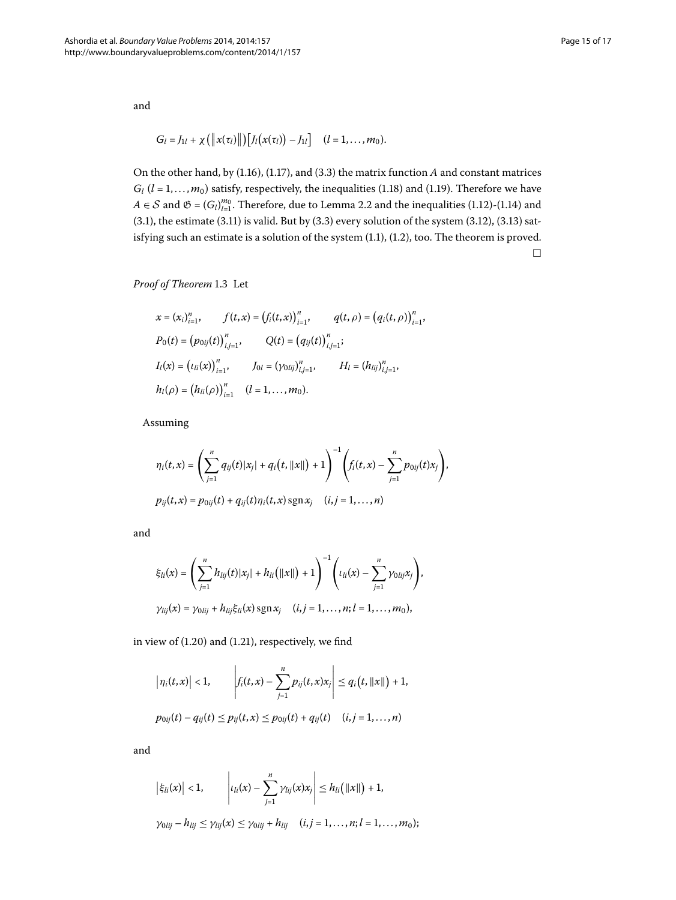and

$$
G_l = J_{1l} + \chi\left(\left\|x(\tau_l)\right\|\right)\left[J_l\big(x(\tau_l)\big) - J_{1l}\right] \quad (l = 1, \ldots, m_0).
$$

On the other hand, by  $(1.16)$ ,  $(1.17)$ , and  $(3.3)$  the matrix function  $A$  and constant matrices  $G_l$  ( $l = 1, ..., m_0$ ) satisfy, respectively, the inequalities (1.18) and (1.19). Therefore we have *A* ∈ *S* and  $\mathfrak{G} = (G_l)_{l=1}^{m_0}$ [.](#page-3-0) Therefore, due to Lemma 2.2 and the inequalities (1.12)-(1.14) and (3[.](#page-13-4)1), the estimate (3.11) is valid. But by (3.3) every solution of the system (3.12), (3.13) satisfying such an estimate is a solution of the system  $(1.1)$ ,  $(1.2)$ , too. The theorem is proved.  $\Box$ 

**Proof of Theorem 1[.](#page-4-4)3** Let

$$
x = (x_i)_{i=1}^n, \qquad f(t, x) = (f_i(t, x))_{i=1}^n, \qquad q(t, \rho) = (q_i(t, \rho))_{i=1}^n,
$$
  
\n
$$
P_0(t) = (p_{0ij}(t))_{i,j=1}^n, \qquad Q(t) = (q_{ij}(t))_{i,j=1}^n;
$$
  
\n
$$
I_l(x) = (t_{li}(x))_{i=1}^n, \qquad J_{0l} = (\gamma_{0lij})_{i,j=1}^n, \qquad H_l = (h_{lij})_{i,j=1}^n,
$$
  
\n
$$
h_l(\rho) = (h_{li}(\rho))_{i=1}^n \qquad (l = 1, ..., m_0).
$$

Assuming

$$
\eta_i(t,x) = \left(\sum_{j=1}^n q_{ij}(t)|x_j| + q_i(t, ||x||) + 1\right)^{-1} \left(f_i(t,x) - \sum_{j=1}^n p_{0ij}(t)x_j\right),
$$
  

$$
p_{ij}(t,x) = p_{0ij}(t) + q_{ij}(t)\eta_i(t,x) \operatorname{sgn} x_j \quad (i,j = 1,...,n)
$$

and

$$
\xi_{li}(x) = \left(\sum_{j=1}^n h_{lij}(t)|x_j| + h_{li}(\|x\|) + 1\right)^{-1} \left(\iota_{li}(x) - \sum_{j=1}^n \gamma_{0lij} x_j\right),
$$
  

$$
\gamma_{lij}(x) = \gamma_{0lij} + h_{lij}\xi_{li}(x) \operatorname{sgn} x_j \quad (i,j = 1, ..., n; l = 1, ..., m_0),
$$

in view of  $(1.20)$  $(1.20)$  $(1.20)$  and  $(1.21)$ , respectively, we find

$$
\left|\eta_i(t,x)\right| < 1, \qquad \left|f_i(t,x) - \sum_{j=1}^n p_{ij}(t,x)x_j\right| \leq q_i\big(t, \|x\|\big) + 1,
$$
\n
$$
p_{0ij}(t) - q_{ij}(t) \leq p_{ij}(t,x) \leq p_{0ij}(t) + q_{ij}(t) \quad (i,j = 1, \ldots, n)
$$

and

$$
\left|\xi_{li}(x)\right|<1,\qquad \left| \iota_{li}(x)-\sum_{j=1}^n \gamma_{lij}(x)x_j\right| \leq h_{li}\big(\|x\|\big)+1,
$$

 $\gamma_{0lij} - h_{lij} \leq \gamma_{lij}(x) \leq \gamma_{0lij} + h_{lij} \quad (i, j = 1, ..., n; l = 1, ..., m_0);$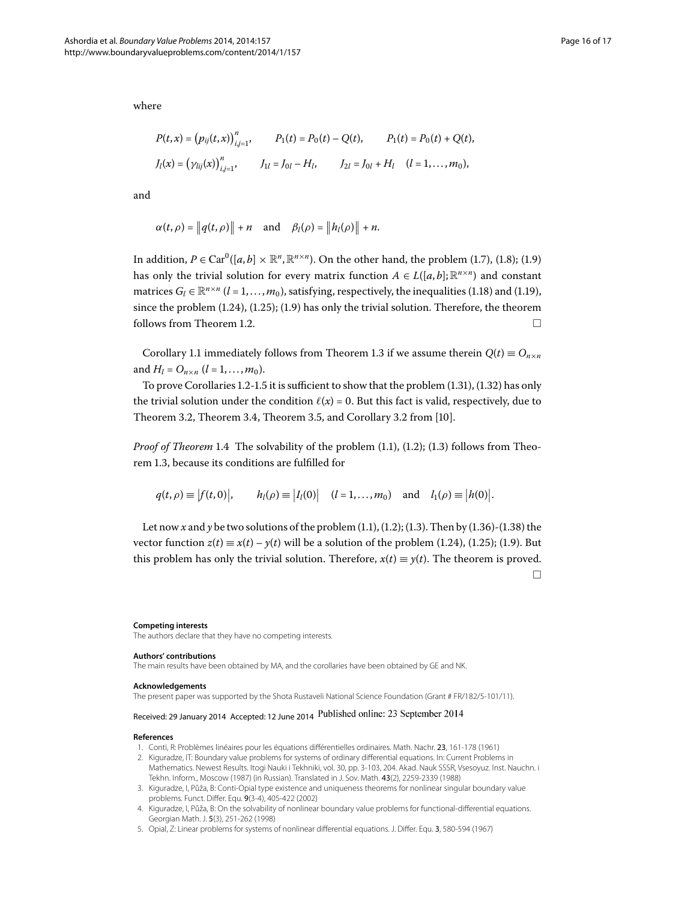where

$$
P(t,x) = (p_{ij}(t,x))_{i,j=1}^n, \qquad P_1(t) = P_0(t) - Q(t), \qquad P_1(t) = P_0(t) + Q(t),
$$
  

$$
J_l(x) = (\gamma_{lij}(x))_{i,j=1}^n, \qquad J_{1l} = J_{0l} - H_l, \qquad J_{2l} = J_{0l} + H_l \quad (l = 1, ..., m_0),
$$

and

$$
\alpha(t,\rho) = \|q(t,\rho)\| + n \quad \text{and} \quad \beta_l(\rho) = \|h_l(\rho)\| + n.
$$

In addition,  $P \in \text{Car}^0([a, b] \times \mathbb{R}^n, \mathbb{R}^{n \times n})$ . On the other hand, the problem (1.7), (1.8); (1.9) has only the trivial solution for every matrix function  $A \in L([a, b]; \mathbb{R}^{n \times n})$  and constant matrices  $G_l \in \mathbb{R}^{n \times n}$  (*l* = 1, [.](#page-4-1).., *m*<sub>0</sub>), satisfying, respectively, the inequalities (1.18) and (1.19), since the problem  $(1.24)$  $(1.24)$  $(1.24)$ ,  $(1.25)$ ;  $(1.9)$  has only the trivial solution. Therefore, the theorem follows from Theorem 1.2.  $\Box$ 

Corollary 1[.](#page-4-4)1 immediately follows from Theorem 1.3 if we assume therein  $Q(t) \equiv O_{n \times n}$ and  $H_l = O_{n \times n}$  ( $l = 1, ..., m_0$ ).

To prove Corollaries 1[.](#page-5-7)2-1.5 it is sufficient to show that the problem  $(1.31)$ ,  $(1.32)$  has only the trivial solution under the condition  $\ell(x) = 0$ . But this fact is valid, respectively, due to Theorem 3.2, Theorem 3.4, Theorem 3.5, and Corollary 3.2 from [10[\]](#page-16-1).

*Proof of Theorem* 1[.](#page-0-5)4 The solvability of the problem (1.1), (1.2); (1.3) follows from Theorem 1.3, because its conditions are fulfilled for

$$
q(t, \rho) \equiv |f(t, 0)|
$$
,  $h_l(\rho) \equiv |I_l(0)|$   $(l = 1,...,m_0)$  and  $l_1(\rho) \equiv |h(0)|$ .

Let now *x* and *y* be two solutions of the problem  $(1.1)$ ,  $(1.2)$ ;  $(1.3)$ . Then by  $(1.36)$ - $(1.38)$  the vector function  $z(t) = x(t) - y(t)$  will be a solution of the problem (1[.](#page-5-4)24), (1.25); (1.9). But this problem has only the trivial solution. Therefore,  $x(t) \equiv y(t)$ . The theorem is proved.  $\Box$ 

#### **Competing interests**

<span id="page-15-0"></span>The authors declare that they have no competing interests.

#### <span id="page-15-2"></span>**Authors' contributions**

The main results have been obtained by MA, and the corollaries have been obtained by GE and NK.

#### **Acknowledgements**

The present paper was supported by the Shota Rustaveli National Science Foundation (Grant # FR/182/5-101/11).

# Received: 29 January 2014 Accepted: 12 June 2014

#### <span id="page-15-1"></span>**References**

- 1. Conti, R: Problèmes linéaires pour les équations différentielles ordinaires. Math. Nachr. 23, 161-178 (1961)
- 2. Kiguradze, IT: Boundary value problems for systems of ordinary differential equations. In: Current Problems in
- Mathematics. Newest Results. Itogi Nauki i Tekhniki, vol. 30, pp. 3-103, 204. Akad. Nauk SSSR, Vsesoyuz. Inst. Nauchn. i Tekhn. Inform., Moscow (1987) (in Russian). Translated in J. Sov. Math. 43(2), 2259-2339 (1988)
- 3. Kiguradze, I, Půža, B: Conti-Opial type existence and uniqueness theorems for nonlinear singular boundary value problems. Funct. Differ. Equ. 9(3-4), 405-422 (2002)
- 4. Kiguradze, I, Půža, B: On the solvability of nonlinear boundary value problems for functional-differential equations. Georgian Math. J. 5(3), 251-262 (1998)
- 5. Opial, Z: Linear problems for systems of nonlinear differential equations. J. Differ. Equ. 3, 580-594 (1967)